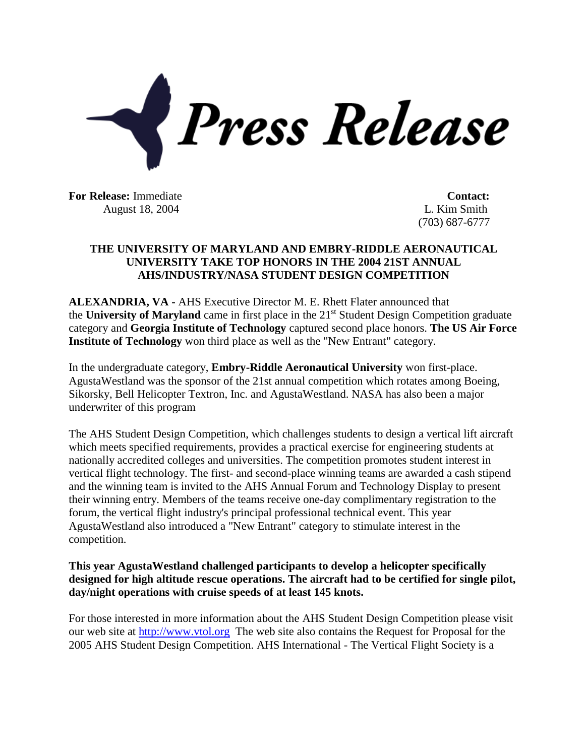

**For Release:** Immediate **Contact: Contact: Contact: Contact: Contact: Contact: Contact: Contact: Contact: Contact: Contact: Contact: Contact: Contact: Contact: Contact: Contact: Contact:** August 18, 2004L. Kim Smith

(703) 687-6777

## **THE UNIVERSITY OF MARYLAND AND EMBRY-RIDDLE AERONAUTICAL UNIVERSITY TAKE TOP HONORS IN THE 2004 21ST ANNUAL AHS/INDUSTRY/NASA STUDENT DESIGN COMPETITION**

**ALEXANDRIA, VA -** AHS Executive Director M. E. Rhett Flater announced that the **University of Maryland** came in first place in the 21<sup>st</sup> Student Design Competition graduate category and **Georgia Institute of Technology** captured second place honors. **The US Air Force Institute of Technology** won third place as well as the "New Entrant" category.

In the undergraduate category, **Embry-Riddle Aeronautical University** won first-place. AgustaWestland was the sponsor of the 21st annual competition which rotates among Boeing, Sikorsky, Bell Helicopter Textron, Inc. and AgustaWestland. NASA has also been a major underwriter of this program

The AHS Student Design Competition, which challenges students to design a vertical lift aircraft which meets specified requirements, provides a practical exercise for engineering students at nationally accredited colleges and universities. The competition promotes student interest in vertical flight technology. The first- and second-place winning teams are awarded a cash stipend and the winning team is invited to the AHS Annual Forum and Technology Display to present their winning entry. Members of the teams receive one-day complimentary registration to the forum, the vertical flight industry's principal professional technical event. This year AgustaWestland also introduced a "New Entrant" category to stimulate interest in the competition.

## **This year AgustaWestland challenged participants to develop a helicopter specifically designed for high altitude rescue operations. The aircraft had to be certified for single pilot, day/night operations with cruise speeds of at least 145 knots.**

For those interested in more information about the AHS Student Design Competition please visit our web site at [http://www.vtol.org](http://www.vtol.org/) The web site also contains the Request for Proposal for the 2005 AHS Student Design Competition. AHS International - The Vertical Flight Society is a